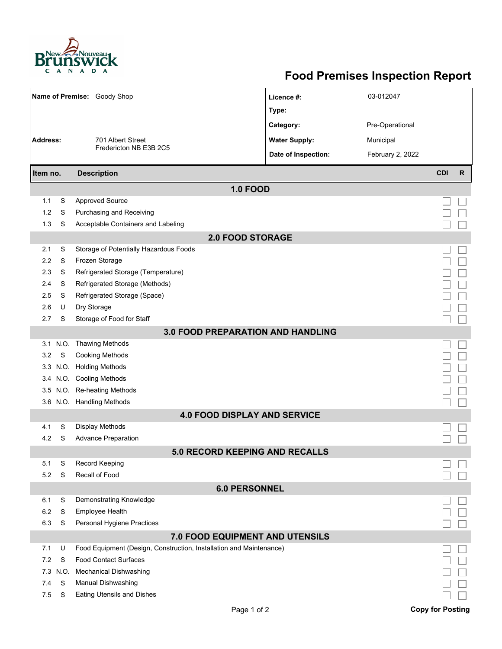

## **Food Premises Inspection Report**

| Name of Premise: Goody Shop              |      |                                                                     | Licence #:           | 03-012047        |                         |              |  |  |  |  |  |  |
|------------------------------------------|------|---------------------------------------------------------------------|----------------------|------------------|-------------------------|--------------|--|--|--|--|--|--|
|                                          |      |                                                                     | Type:                |                  |                         |              |  |  |  |  |  |  |
|                                          |      |                                                                     | Category:            | Pre-Operational  |                         |              |  |  |  |  |  |  |
| <b>Address:</b>                          |      | 701 Albert Street<br>Fredericton NB E3B 2C5                         | <b>Water Supply:</b> | Municipal        |                         |              |  |  |  |  |  |  |
|                                          |      |                                                                     |                      |                  |                         |              |  |  |  |  |  |  |
|                                          |      |                                                                     | Date of Inspection:  | February 2, 2022 |                         |              |  |  |  |  |  |  |
| Item no.                                 |      | <b>Description</b>                                                  |                      |                  | <b>CDI</b>              | $\mathsf{R}$ |  |  |  |  |  |  |
| <b>1.0 FOOD</b>                          |      |                                                                     |                      |                  |                         |              |  |  |  |  |  |  |
| 1.1                                      | S    | <b>Approved Source</b>                                              |                      |                  |                         |              |  |  |  |  |  |  |
| 1.2                                      | S    | Purchasing and Receiving                                            |                      |                  |                         |              |  |  |  |  |  |  |
| 1.3                                      | S    | Acceptable Containers and Labeling                                  |                      |                  |                         |              |  |  |  |  |  |  |
| <b>2.0 FOOD STORAGE</b>                  |      |                                                                     |                      |                  |                         |              |  |  |  |  |  |  |
| 2.1                                      | S    | Storage of Potentially Hazardous Foods                              |                      |                  |                         |              |  |  |  |  |  |  |
| 2.2                                      | S    | Frozen Storage                                                      |                      |                  |                         |              |  |  |  |  |  |  |
| 2.3                                      | S    | Refrigerated Storage (Temperature)                                  |                      |                  |                         |              |  |  |  |  |  |  |
| 2.4                                      | S    | Refrigerated Storage (Methods)                                      |                      |                  |                         |              |  |  |  |  |  |  |
| 2.5                                      | S    | Refrigerated Storage (Space)                                        |                      |                  |                         |              |  |  |  |  |  |  |
| 2.6                                      | U    | Dry Storage                                                         |                      |                  |                         |              |  |  |  |  |  |  |
| 2.7                                      | S    | Storage of Food for Staff                                           |                      |                  |                         |              |  |  |  |  |  |  |
| <b>3.0 FOOD PREPARATION AND HANDLING</b> |      |                                                                     |                      |                  |                         |              |  |  |  |  |  |  |
|                                          |      | 3.1 N.O. Thawing Methods                                            |                      |                  |                         |              |  |  |  |  |  |  |
| 3.2                                      | S    | <b>Cooking Methods</b>                                              |                      |                  |                         |              |  |  |  |  |  |  |
| 3.3                                      | N.O. | <b>Holding Methods</b>                                              |                      |                  |                         |              |  |  |  |  |  |  |
|                                          |      | 3.4 N.O. Cooling Methods                                            |                      |                  |                         |              |  |  |  |  |  |  |
| 3.5                                      |      | N.O. Re-heating Methods                                             |                      |                  |                         |              |  |  |  |  |  |  |
|                                          |      | 3.6 N.O. Handling Methods                                           |                      |                  |                         |              |  |  |  |  |  |  |
|                                          |      | <b>4.0 FOOD DISPLAY AND SERVICE</b>                                 |                      |                  |                         |              |  |  |  |  |  |  |
| 4.1                                      | S    | <b>Display Methods</b>                                              |                      |                  |                         |              |  |  |  |  |  |  |
| 4.2                                      | S    | <b>Advance Preparation</b>                                          |                      |                  |                         |              |  |  |  |  |  |  |
|                                          |      | <b>5.0 RECORD KEEPING AND RECALLS</b>                               |                      |                  |                         |              |  |  |  |  |  |  |
| 5.1                                      | S    | Record Keeping                                                      |                      |                  |                         |              |  |  |  |  |  |  |
| 5.2                                      | S    | Recall of Food                                                      |                      |                  |                         |              |  |  |  |  |  |  |
|                                          |      | <b>6.0 PERSONNEL</b>                                                |                      |                  |                         |              |  |  |  |  |  |  |
| 6.1                                      | S    | Demonstrating Knowledge                                             |                      |                  |                         |              |  |  |  |  |  |  |
| 6.2                                      | S    | Employee Health                                                     |                      |                  |                         |              |  |  |  |  |  |  |
| 6.3                                      | S    | Personal Hygiene Practices                                          |                      |                  |                         |              |  |  |  |  |  |  |
|                                          |      | 7.0 FOOD EQUIPMENT AND UTENSILS                                     |                      |                  |                         |              |  |  |  |  |  |  |
| 7.1                                      | U    | Food Equipment (Design, Construction, Installation and Maintenance) |                      |                  |                         |              |  |  |  |  |  |  |
| 7.2                                      | S    | <b>Food Contact Surfaces</b>                                        |                      |                  |                         |              |  |  |  |  |  |  |
| 7.3                                      | N.O. | <b>Mechanical Dishwashing</b>                                       |                      |                  |                         |              |  |  |  |  |  |  |
| 7.4                                      | S    | Manual Dishwashing                                                  |                      |                  |                         |              |  |  |  |  |  |  |
| 7.5                                      | S    | Eating Utensils and Dishes                                          |                      |                  |                         |              |  |  |  |  |  |  |
|                                          |      | Page 1 of 2                                                         |                      |                  | <b>Copy for Posting</b> |              |  |  |  |  |  |  |